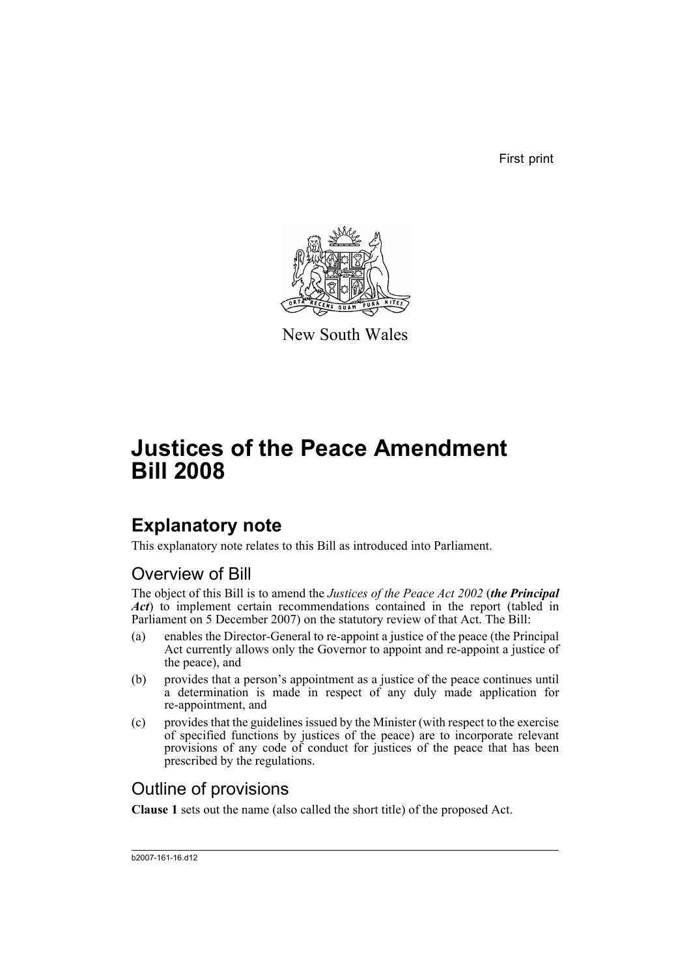First print



New South Wales

# **Justices of the Peace Amendment Bill 2008**

## **Explanatory note**

This explanatory note relates to this Bill as introduced into Parliament.

### Overview of Bill

The object of this Bill is to amend the *Justices of the Peace Act 2002* (*the Principal Act*) to implement certain recommendations contained in the report (tabled in Parliament on 5 December 2007) on the statutory review of that Act. The Bill:

- (a) enables the Director-General to re-appoint a justice of the peace (the Principal Act currently allows only the Governor to appoint and re-appoint a justice of the peace), and
- (b) provides that a person's appointment as a justice of the peace continues until a determination is made in respect of any duly made application for re-appointment, and
- (c) provides that the guidelines issued by the Minister (with respect to the exercise of specified functions by justices of the peace) are to incorporate relevant provisions of any code of conduct for justices of the peace that has been prescribed by the regulations.

### Outline of provisions

**Clause 1** sets out the name (also called the short title) of the proposed Act.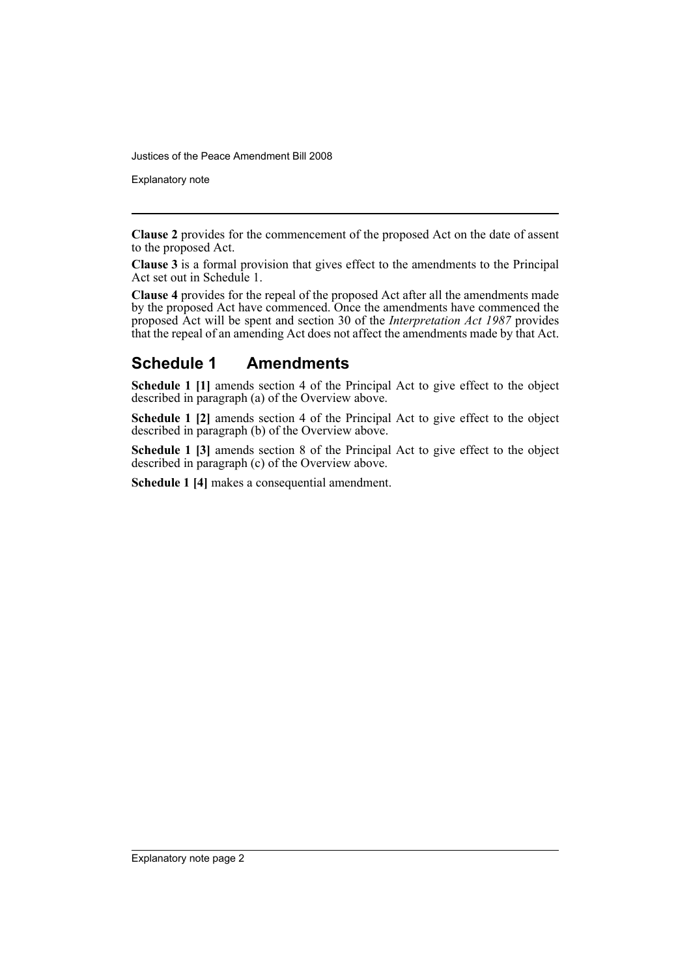Justices of the Peace Amendment Bill 2008

Explanatory note

**Clause 2** provides for the commencement of the proposed Act on the date of assent to the proposed Act.

**Clause 3** is a formal provision that gives effect to the amendments to the Principal Act set out in Schedule 1.

**Clause 4** provides for the repeal of the proposed Act after all the amendments made by the proposed Act have commenced. Once the amendments have commenced the proposed Act will be spent and section 30 of the *Interpretation Act 1987* provides that the repeal of an amending Act does not affect the amendments made by that Act.

#### **Schedule 1 Amendments**

**Schedule 1 [1]** amends section 4 of the Principal Act to give effect to the object described in paragraph (a) of the Overview above.

**Schedule 1 [2]** amends section 4 of the Principal Act to give effect to the object described in paragraph (b) of the Overview above.

**Schedule 1 [3]** amends section 8 of the Principal Act to give effect to the object described in paragraph (c) of the Overview above.

**Schedule 1 [4]** makes a consequential amendment.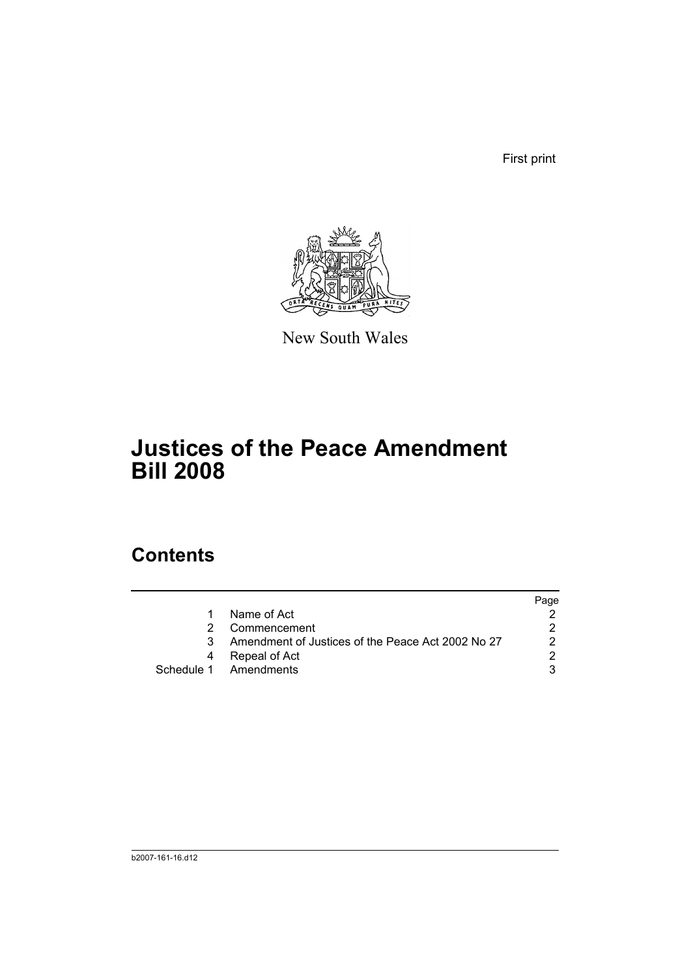First print



New South Wales

## **Justices of the Peace Amendment Bill 2008**

### **Contents**

|   |                                                   | Page |
|---|---------------------------------------------------|------|
|   | Name of Act                                       |      |
|   | Commencement                                      |      |
| 3 | Amendment of Justices of the Peace Act 2002 No 27 |      |
|   | Repeal of Act                                     |      |
|   | Schedule 1 Amendments                             |      |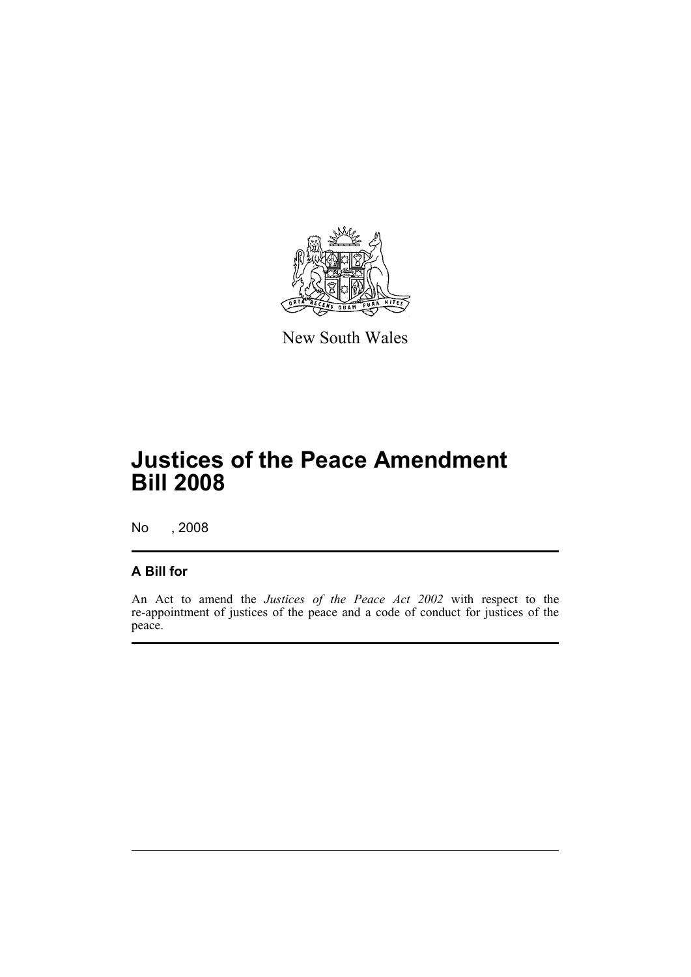

New South Wales

## **Justices of the Peace Amendment Bill 2008**

No , 2008

#### **A Bill for**

An Act to amend the *Justices of the Peace Act 2002* with respect to the re-appointment of justices of the peace and a code of conduct for justices of the peace.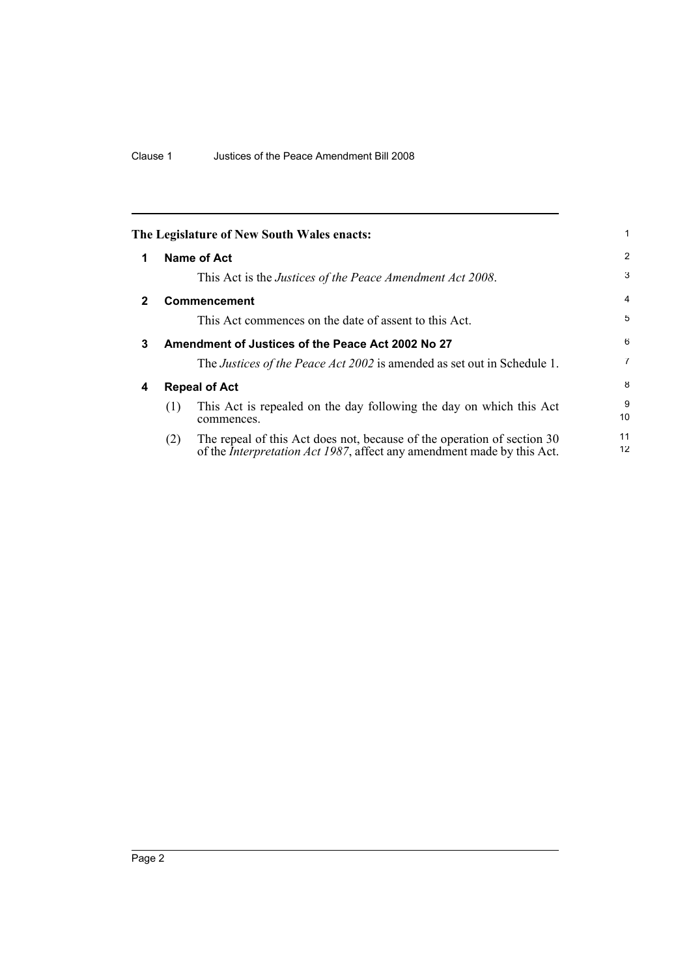<span id="page-5-3"></span><span id="page-5-2"></span><span id="page-5-1"></span><span id="page-5-0"></span>

|              | The Legislature of New South Wales enacts:                                                                                                                       | 1              |
|--------------|------------------------------------------------------------------------------------------------------------------------------------------------------------------|----------------|
| 1            | Name of Act                                                                                                                                                      | $\overline{2}$ |
|              | This Act is the Justices of the Peace Amendment Act 2008.                                                                                                        | 3              |
| $\mathbf{2}$ | <b>Commencement</b>                                                                                                                                              | $\overline{4}$ |
|              | This Act commences on the date of assent to this Act.                                                                                                            | 5              |
| 3            | Amendment of Justices of the Peace Act 2002 No 27                                                                                                                | 6              |
|              | The Justices of the Peace Act 2002 is amended as set out in Schedule 1.                                                                                          | $\overline{7}$ |
| 4            | <b>Repeal of Act</b>                                                                                                                                             |                |
|              | This Act is repealed on the day following the day on which this Act<br>(1)<br>commences.                                                                         | 9<br>10        |
|              | The repeal of this Act does not, because of the operation of section 30<br>(2)<br>of the <i>Interpretation Act 1987</i> , affect any amendment made by this Act. | 11<br>12       |